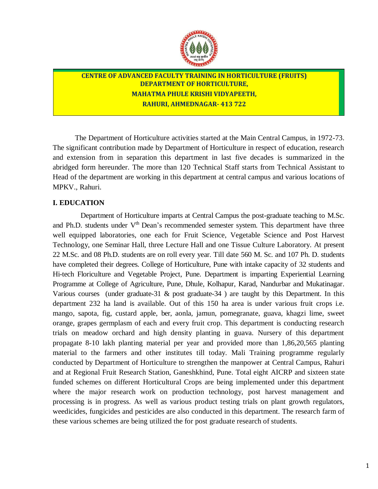

# **CENTRE OF ADVANCED FACULTY TRAINING IN HORTICULTURE (FRUITS) DEPARTMENT OF HORTICULTURE, MAHATMA PHULE KRISHI VIDYAPEETH, RAHURI, AHMEDNAGAR- 413 722**

The Department of Horticulture activities started at the Main Central Campus, in 1972-73. The significant contribution made by Department of Horticulture in respect of education, research and extension from in separation this department in last five decades is summarized in the abridged form hereunder. The more than 120 Technical Staff starts from Technical Assistant to Head of the department are working in this department at central campus and various locations of MPKV., Rahuri.

## **I. EDUCATION**

Department of Horticulture imparts at Central Campus the post-graduate teaching to M.Sc. and Ph.D. students under V<sup>th</sup> Dean's recommended semester system. This department have three well equipped laboratories, one each for Fruit Science, Vegetable Science and Post Harvest Technology, one Seminar Hall, three Lecture Hall and one Tissue Culture Laboratory. At present 22 M.Sc. and 08 Ph.D. students are on roll every year. Till date 560 M. Sc. and 107 Ph. D. students have completed their degrees. College of Horticulture, Pune with intake capacity of 32 students and Hi-tech Floriculture and Vegetable Project, Pune. Department is imparting Experiential Learning Programme at College of Agriculture, Pune, Dhule, Kolhapur, Karad, Nandurbar and Mukatinagar. Various courses (under graduate-31  $\&$  post graduate-34) are taught by this Department. In this department 232 ha land is available. Out of this 150 ha area is under various fruit crops i.e. mango, sapota, fig, custard apple, ber, aonla, jamun, pomegranate, guava, khagzi lime, sweet orange, grapes germplasm of each and every fruit crop. This department is conducting research trials on meadow orchard and high density planting in guava. Nursery of this department propagate 8-10 lakh planting material per year and provided more than 1,86,20,565 planting material to the farmers and other institutes till today. Mali Training programme regularly conducted by Department of Horticulture to strengthen the manpower at Central Campus, Rahuri and at Regional Fruit Research Station, Ganeshkhind, Pune. Total eight AICRP and sixteen state funded schemes on different Horticultural Crops are being implemented under this department where the major research work on production technology, post harvest management and processing is in progress. As well as various product testing trials on plant growth regulators, weedicides, fungicides and pesticides are also conducted in this department. The research farm of these various schemes are being utilized the for post graduate research of students.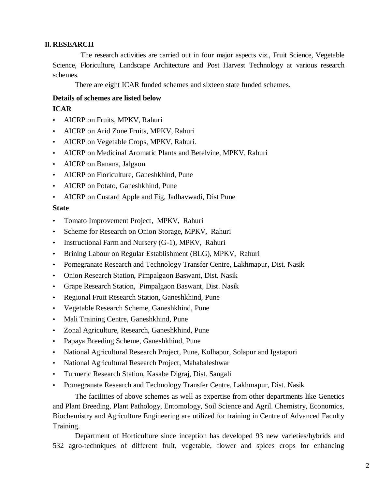### **II. RESEARCH**

The research activities are carried out in four major aspects viz., Fruit Science, Vegetable Science, Floriculture, Landscape Architecture and Post Harvest Technology at various research schemes.

There are eight ICAR funded schemes and sixteen state funded schemes.

## **Details of schemes are listed below**

# **ICAR**

- AICRP on Fruits, MPKV, Rahuri
- AICRP on Arid Zone Fruits, MPKV, Rahuri
- AICRP on Vegetable Crops, MPKV, Rahuri.
- AICRP on Medicinal Aromatic Plants and Betelvine, MPKV, Rahuri
- AICRP on Banana, Jalgaon
- AICRP on Floriculture, Ganeshkhind, Pune
- AICRP on Potato, Ganeshkhind, Pune
- AICRP on Custard Apple and Fig, Jadhavwadi, Dist Pune

## **State**

- Tomato Improvement Project, MPKV, Rahuri
- Scheme for Research on Onion Storage, MPKV, Rahuri
- Instructional Farm and Nursery (G-1), MPKV, Rahuri
- Brining Labour on Regular Establishment (BLG), MPKV, Rahuri
- Pomegranate Research and Technology Transfer Centre, Lakhmapur, Dist. Nasik
- Onion Research Station, Pimpalgaon Baswant, Dist. Nasik
- Grape Research Station, Pimpalgaon Baswant, Dist. Nasik
- Regional Fruit Research Station, Ganeshkhind, Pune
- Vegetable Research Scheme, Ganeshkhind, Pune
- Mali Training Centre, Ganeshkhind, Pune
- Zonal Agriculture, Research, Ganeshkhind, Pune
- Papaya Breeding Scheme, Ganeshkhind, Pune
- National Agricultural Research Project, Pune, Kolhapur, Solapur and Igatapuri
- National Agricultural Research Project, Mahabaleshwar
- Turmeric Research Station, Kasabe Digraj, Dist. Sangali
- Pomegranate Research and Technology Transfer Centre, Lakhmapur, Dist. Nasik

The facilities of above schemes as well as expertise from other departments like Genetics and Plant Breeding, Plant Pathology, Entomology, Soil Science and Agril. Chemistry, Economics, Biochemistry and Agriculture Engineering are utilized for training in Centre of Advanced Faculty Training.

Department of Horticulture since inception has developed 93 new varieties/hybrids and 532 agro-techniques of different fruit, vegetable, flower and spices crops for enhancing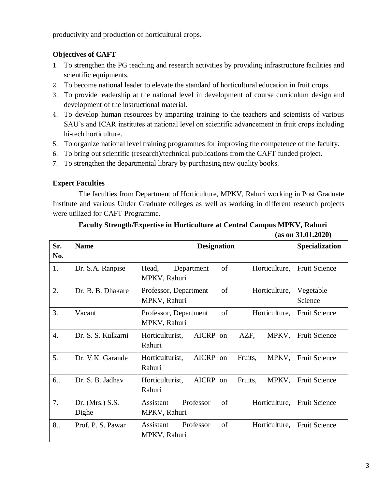productivity and production of horticultural crops.

# **Objectives of CAFT**

- 1. To strengthen the PG teaching and research activities by providing infrastructure facilities and scientific equipments.
- 2. To become national leader to elevate the standard of horticultural education in fruit crops.
- 3. To provide leadership at the national level in development of course curriculum design and development of the instructional material.
- 4. To develop human resources by imparting training to the teachers and scientists of various SAU's and ICAR institutes at national level on scientific advancement in fruit crops including hi-tech horticulture.
- 5. To organize national level training programmes for improving the competence of the faculty.
- 6. To bring out scientific (research)/technical publications from the CAFT funded project.
- 7. To strengthen the departmental library by purchasing new quality books.

# **Expert Faculties**

The faculties from Department of Horticulture, MPKV, Rahuri working in Post Graduate Institute and various Under Graduate colleges as well as working in different research projects were utilized for CAFT Programme.

## **Faculty Strength/Expertise in Horticulture at Central Campus MPKV, Rahuri (as on 31.01.2020)**

| Sr.<br>No.       | <b>Name</b>                | <b>Designation</b>                                            | Specialization       |
|------------------|----------------------------|---------------------------------------------------------------|----------------------|
| 1.               | Dr. S.A. Ranpise           | of<br>Horticulture,<br>Head,<br>Department<br>MPKV, Rahuri    | <b>Fruit Science</b> |
| 2.               | Dr. B. B. Dhakare          | of<br>Professor, Department<br>Horticulture,<br>MPKV, Rahuri  | Vegetable<br>Science |
| 3.               | Vacant                     | of<br>Professor, Department<br>Horticulture,<br>MPKV, Rahuri  | <b>Fruit Science</b> |
| $\overline{4}$ . | Dr. S. S. Kulkarni         | AICRP on<br>Horticulturist,<br>AZF,<br>MPKV,<br>Rahuri        | <b>Fruit Science</b> |
| 5.               | Dr. V.K. Garande           | AICRP on<br>MPKV,<br>Horticulturist,<br>Fruits,<br>Rahuri     | <b>Fruit Science</b> |
| 6                | Dr. S. B. Jadhav           | Horticulturist,<br>AICRP on<br>MPKV,<br>Fruits,<br>Rahuri     | <b>Fruit Science</b> |
| 7.               | Dr. (Mrs.) $S.S.$<br>Dighe | of<br>Professor<br>Assistant<br>Horticulture,<br>MPKV, Rahuri | <b>Fruit Science</b> |
| 8                | Prof. P. S. Pawar          | of<br>Professor<br>Assistant<br>Horticulture,<br>MPKV, Rahuri | <b>Fruit Science</b> |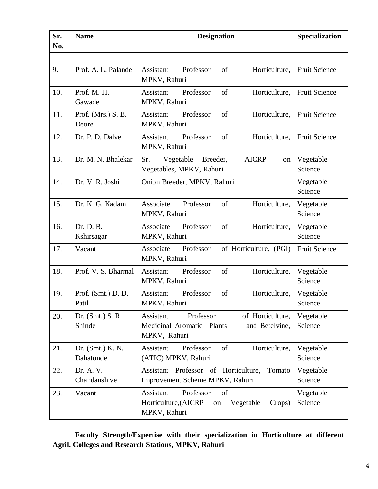| Sr.<br>No. | <b>Name</b>                   | <b>Designation</b>                                                                                        | Specialization       |
|------------|-------------------------------|-----------------------------------------------------------------------------------------------------------|----------------------|
|            |                               |                                                                                                           |                      |
| 9.         | Prof. A. L. Palande           | Professor<br>of<br>Assistant<br>Horticulture,<br>MPKV, Rahuri                                             | Fruit Science        |
| 10.        | Prof. M. H.<br>Gawade         | Professor<br>of<br>Assistant<br>Horticulture,<br>MPKV, Rahuri                                             | Fruit Science        |
| 11.        | Prof. (Mrs.) S. B.<br>Deore   | Professor<br>Assistant<br>of<br>Horticulture,<br>MPKV, Rahuri                                             | Fruit Science        |
| 12.        | Dr. P. D. Dalve               | Professor<br>Assistant<br>of<br>Horticulture,<br>MPKV, Rahuri                                             | Fruit Science        |
| 13.        | Dr. M. N. Bhalekar            | Sr.<br><b>AICRP</b><br>Vegetable<br>Breeder,<br>on<br>Vegetables, MPKV, Rahuri                            | Vegetable<br>Science |
| 14.        | Dr. V. R. Joshi               | Onion Breeder, MPKV, Rahuri                                                                               | Vegetable<br>Science |
| 15.        | Dr. K. G. Kadam               | Associate<br>Professor<br>of<br>Horticulture,<br>MPKV, Rahuri                                             | Vegetable<br>Science |
| 16.        | Dr. D. B.<br>Kshirsagar       | Professor<br>of<br>Associate<br>Horticulture,<br>MPKV, Rahuri                                             | Vegetable<br>Science |
| 17.        | Vacant                        | Professor<br>Associate<br>of Horticulture, (PGI)<br>MPKV, Rahuri                                          | Fruit Science        |
| 18.        | Prof. V. S. Bharmal           | Professor<br>of<br>Horticulture,<br>Assistant<br>MPKV, Rahuri                                             | Vegetable<br>Science |
| 19.        | Prof. (Smt.) D. D.<br>Patil   | Professor<br>of<br>Horticulture,<br>Assistant<br>MPKV, Rahuri                                             | Vegetable<br>Science |
| 20.        | Dr. $(Smt.) S. R.$<br>Shinde  | Professor<br>of Horticulture,<br>Assistant<br>Medicinal Aromatic Plants<br>and Betelvine,<br>MPKV, Rahuri | Vegetable<br>Science |
| 21.        | Dr. (Smt.) K. N.<br>Dahatonde | Professor<br>Horticulture,<br>Assistant<br>of<br>(ATIC) MPKV, Rahuri                                      | Vegetable<br>Science |
| 22.        | Dr. A. V.<br>Chandanshive     | Assistant Professor of Horticulture,<br>Tomato<br>Improvement Scheme MPKV, Rahuri                         | Vegetable<br>Science |
| 23.        | Vacant                        | Professor<br>Assistant<br>of<br>Horticulture, (AICRP<br>Vegetable<br>Crops)<br>on<br>MPKV, Rahuri         | Vegetable<br>Science |

**Faculty Strength/Expertise with their specialization in Horticulture at different Agril. Colleges and Research Stations, MPKV, Rahuri**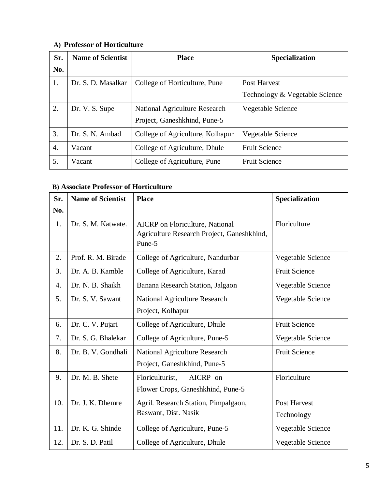# **A) Professor of Horticulture**

| Sr. | <b>Name of Scientist</b> | <b>Place</b>                     | Specialization                 |
|-----|--------------------------|----------------------------------|--------------------------------|
| No. |                          |                                  |                                |
| 1.  | Dr. S. D. Masalkar       | College of Horticulture, Pune    | Post Harvest                   |
|     |                          |                                  | Technology & Vegetable Science |
| 2.  | Dr. V. S. Supe           | National Agriculture Research    | Vegetable Science              |
|     |                          | Project, Ganeshkhind, Pune-5     |                                |
| 3.  | Dr. S. N. Ambad          | College of Agriculture, Kolhapur | Vegetable Science              |
| 4.  | Vacant                   | College of Agriculture, Dhule    | <b>Fruit Science</b>           |
| 5.  | Vacant                   | College of Agriculture, Pune     | <b>Fruit Science</b>           |

# **B) Associate Professor of Horticulture**

| Sr. | <b>Name of Scientist</b> | <b>Place</b>                                                                                   | Specialization       |
|-----|--------------------------|------------------------------------------------------------------------------------------------|----------------------|
| No. |                          |                                                                                                |                      |
| 1.  | Dr. S. M. Katwate.       | <b>AICRP</b> on Floriculture, National<br>Agriculture Research Project, Ganeshkhind,<br>Pune-5 | Floriculture         |
| 2.  | Prof. R. M. Birade       | College of Agriculture, Nandurbar                                                              | Vegetable Science    |
| 3.  | Dr. A. B. Kamble         | College of Agriculture, Karad                                                                  | <b>Fruit Science</b> |
| 4.  | Dr. N. B. Shaikh         | Banana Research Station, Jalgaon                                                               | Vegetable Science    |
| 5.  | Dr. S. V. Sawant         | <b>National Agriculture Research</b>                                                           | Vegetable Science    |
|     |                          | Project, Kolhapur                                                                              |                      |
| 6.  | Dr. C. V. Pujari         | College of Agriculture, Dhule                                                                  | <b>Fruit Science</b> |
| 7.  | Dr. S. G. Bhalekar       | College of Agriculture, Pune-5                                                                 | Vegetable Science    |
| 8.  | Dr. B. V. Gondhali       | <b>National Agriculture Research</b>                                                           | <b>Fruit Science</b> |
|     |                          | Project, Ganeshkhind, Pune-5                                                                   |                      |
| 9.  | Dr. M. B. Shete          | Floriculturist,<br>AICRP on                                                                    | Floriculture         |
|     |                          | Flower Crops, Ganeshkhind, Pune-5                                                              |                      |
| 10. | Dr. J. K. Dhemre         | Agril. Research Station, Pimpalgaon,                                                           | Post Harvest         |
|     |                          | Baswant, Dist. Nasik                                                                           | Technology           |
| 11. | Dr. K. G. Shinde         | College of Agriculture, Pune-5                                                                 | Vegetable Science    |
| 12. | Dr. S. D. Patil          | College of Agriculture, Dhule                                                                  | Vegetable Science    |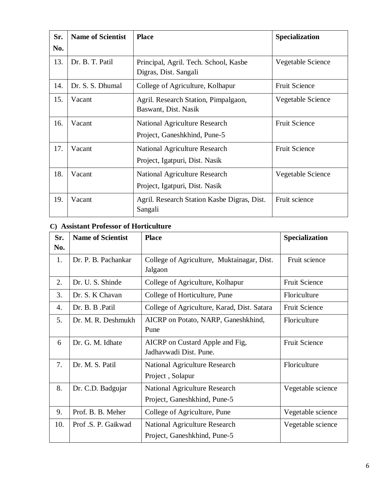| Sr. | <b>Name of Scientist</b> | <b>Place</b>                                                           | Specialization       |
|-----|--------------------------|------------------------------------------------------------------------|----------------------|
| No. |                          |                                                                        |                      |
| 13. | Dr. B. T. Patil          | Principal, Agril. Tech. School, Kasbe<br>Digras, Dist. Sangali         | Vegetable Science    |
| 14. | Dr. S. S. Dhumal         | College of Agriculture, Kolhapur                                       | <b>Fruit Science</b> |
| 15. | Vacant                   | Agril. Research Station, Pimpalgaon,<br>Baswant, Dist. Nasik           | Vegetable Science    |
| 16. | Vacant                   | National Agriculture Research<br>Project, Ganeshkhind, Pune-5          | <b>Fruit Science</b> |
| 17. | Vacant                   | <b>National Agriculture Research</b><br>Project, Igatpuri, Dist. Nasik | <b>Fruit Science</b> |
| 18. | Vacant                   | National Agriculture Research<br>Project, Igatpuri, Dist. Nasik        | Vegetable Science    |
| 19. | Vacant                   | Agril. Research Station Kasbe Digras, Dist.<br>Sangali                 | Fruit science        |

# **C) Assistant Professor of Horticulture**

| Sr.<br>No. | <b>Name of Scientist</b> | <b>Place</b>                                                         | Specialization       |
|------------|--------------------------|----------------------------------------------------------------------|----------------------|
| 1.         | Dr. P. B. Pachankar      | College of Agriculture, Muktainagar, Dist.<br>Jalgaon                | Fruit science        |
| 2.         | Dr. U. S. Shinde         | College of Agriculture, Kolhapur                                     | <b>Fruit Science</b> |
| 3.         | Dr. S. K Chavan          | College of Horticulture, Pune                                        | Floriculture         |
| 4.         | Dr. B. B. Patil          | College of Agriculture, Karad, Dist. Satara                          | <b>Fruit Science</b> |
| 5.         | Dr. M. R. Deshmukh       | AICRP on Potato, NARP, Ganeshkhind,<br>Pune                          | Floriculture         |
| 6          | Dr. G. M. Idhate         | AICRP on Custard Apple and Fig.<br>Jadhavwadi Dist. Pune.            | <b>Fruit Science</b> |
| 7.         | Dr. M. S. Patil          | National Agriculture Research<br>Project, Solapur                    | Floriculture         |
| 8.         | Dr. C.D. Badgujar        | <b>National Agriculture Research</b><br>Project, Ganeshkhind, Pune-5 | Vegetable science    |
| 9.         | Prof. B. B. Meher        | College of Agriculture, Pune                                         | Vegetable science    |
| 10.        | Prof.S. P. Gaikwad       | <b>National Agriculture Research</b><br>Project, Ganeshkhind, Pune-5 | Vegetable science    |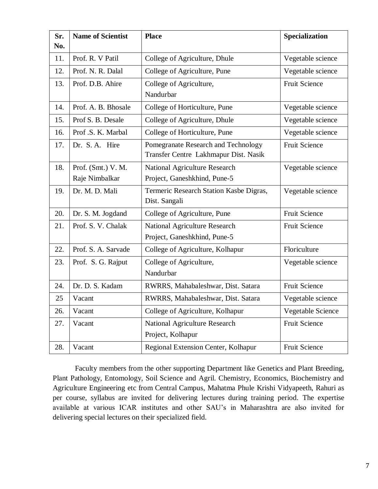| Sr.<br>No. | <b>Name of Scientist</b> | <b>Place</b>                                                                 | Specialization       |
|------------|--------------------------|------------------------------------------------------------------------------|----------------------|
| 11.        | Prof. R. V Patil         | College of Agriculture, Dhule                                                | Vegetable science    |
| 12.        | Prof. N. R. Dalal        | College of Agriculture, Pune                                                 | Vegetable science    |
| 13.        | Prof. D.B. Ahire         | College of Agriculture,<br>Nandurbar                                         | <b>Fruit Science</b> |
| 14.        | Prof. A. B. Bhosale      | College of Horticulture, Pune                                                | Vegetable science    |
| 15.        | Prof S. B. Desale        | College of Agriculture, Dhule                                                | Vegetable science    |
| 16.        | Prof.S.K. Marbal         | College of Horticulture, Pune                                                | Vegetable science    |
| 17.        | Dr. S.A. Hire            | Pomegranate Research and Technology<br>Transfer Centre Lakhmapur Dist. Nasik | <b>Fruit Science</b> |
| 18.        | Prof. (Smt.) V. M.       | National Agriculture Research                                                | Vegetable science    |
|            | Raje Nimbalkar           | Project, Ganeshkhind, Pune-5                                                 |                      |
| 19.        | Dr. M. D. Mali           | Termeric Research Station Kasbe Digras,<br>Dist. Sangali                     | Vegetable science    |
| 20.        | Dr. S. M. Jogdand        | College of Agriculture, Pune                                                 | <b>Fruit Science</b> |
| 21.        | Prof. S. V. Chalak       | National Agriculture Research<br>Project, Ganeshkhind, Pune-5                | <b>Fruit Science</b> |
| 22.        | Prof. S. A. Sarvade      | College of Agriculture, Kolhapur                                             | Floriculture         |
| 23.        | Prof. S. G. Rajput       | College of Agriculture,<br>Nandurbar                                         | Vegetable science    |
| 24.        | Dr. D. S. Kadam          | RWRRS, Mahabaleshwar, Dist. Satara                                           | <b>Fruit Science</b> |
| 25         | Vacant                   | RWRRS, Mahabaleshwar, Dist. Satara                                           | Vegetable science    |
| 26.        | Vacant                   | College of Agriculture, Kolhapur                                             | Vegetable Science    |
| 27.        | Vacant                   | National Agriculture Research                                                | Fruit Science        |
|            |                          | Project, Kolhapur                                                            |                      |
| 28.        | Vacant                   | Regional Extension Center, Kolhapur                                          | <b>Fruit Science</b> |

Faculty members from the other supporting Department like Genetics and Plant Breeding, Plant Pathology, Entomology, Soil Science and Agril. Chemistry, Economics, Biochemistry and Agriculture Engineering etc from Central Campus, Mahatma Phule Krishi Vidyapeeth, Rahuri as per course, syllabus are invited for delivering lectures during training period. The expertise available at various ICAR institutes and other SAU's in Maharashtra are also invited for delivering special lectures on their specialized field.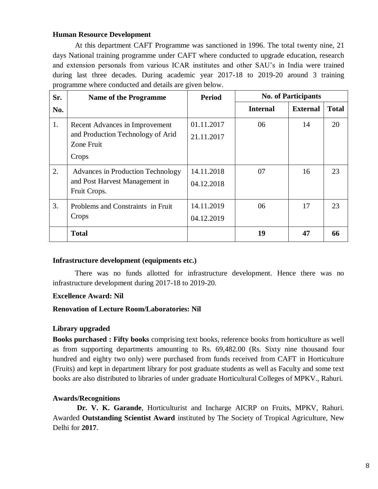#### **Human Resource Development**

At this department CAFT Programme was sanctioned in 1996. The total twenty nine, 21 days National training programme under CAFT where conducted to upgrade education, research and extension personals from various ICAR institutes and other SAU's in India were trained during last three decades. During academic year 2017-18 to 2019-20 around 3 training programme where conducted and details are given below.

| Sr. | <b>Name of the Programme</b>                                                               | <b>Period</b>            | <b>No. of Participants</b> |                 |              |
|-----|--------------------------------------------------------------------------------------------|--------------------------|----------------------------|-----------------|--------------|
| No. |                                                                                            |                          | <b>Internal</b>            | <b>External</b> | <b>Total</b> |
| 1.  | Recent Advances in Improvement<br>and Production Technology of Arid<br>Zone Fruit<br>Crops | 01.11.2017<br>21.11.2017 | 06                         | 14              | 20           |
| 2.  | Advances in Production Technology<br>and Post Harvest Management in<br>Fruit Crops.        | 14.11.2018<br>04.12.2018 | 07                         | 16              | 23           |
| 3.  | Problems and Constraints in Fruit<br>Crops                                                 | 14.11.2019<br>04.12.2019 | 06                         | 17              | 23           |
|     | <b>Total</b>                                                                               |                          | 19                         | 47              | 66           |

#### **Infrastructure development (equipments etc.)**

There was no funds allotted for infrastructure development. Hence there was no infrastructure development during 2017-18 to 2019-20.

#### **Excellence Award: Nil**

#### **Renovation of Lecture Room/Laboratories: Nil**

#### **Library upgraded**

**Books purchased : Fifty books** comprising text books, reference books from horticulture as well as from supporting departments amounting to Rs. 69,482.00 (Rs. Sixty nine thousand four hundred and eighty two only) were purchased from funds received from CAFT in Horticulture (Fruits) and kept in department library for post graduate students as well as Faculty and some text books are also distributed to libraries of under graduate Horticultural Colleges of MPKV., Rahuri.

#### **Awards/Recognitions**

 **Dr. V. K. Garande**, Horticulturist and Incharge AICRP on Fruits, MPKV, Rahuri. Awarded **Outstanding Scientist Award** instituted by The Society of Tropical Agriculture, New Delhi for **2017**.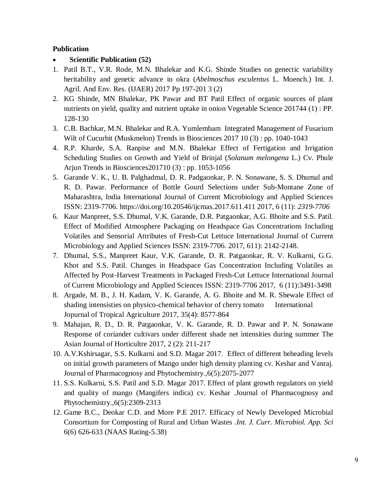# **Publication**

- **Scientific Publication (52)**
- 1. Patil B.T., V.R. Rode, M.N. Bhalekar and K.G. Shinde Studies on genectic variability heritability and genetic advance in okra (*Abelmoschus esculentus* L. Moench.) Int. J. Agril. And Env. Res. (IJAER) 2017 Pp 197-201 3 (2)
- 2. KG Shinde, MN Bhalekar, PK Pawar and BT Patil Effect of organic sources of plant nutrients on yield, quality and nutrient uptake in onion Vegetable Science 201744 (1) : PP. 128-130
- 3. C.B. Bachkar, M.N. Bhalekar and R.A. Yumlembam Integrated Management of Fusarium Wilt of Cucurbit (Muskmelon) Trends in Biosciences 2017 10 (3) : pp. 1040-1043
- 4. R.P. Kharde, S.A. Ranpise and M.N. Bhalekar Effect of Fertigation and Irrigation Scheduling Studies on Growth and Yield of Brinjal (*Solanum melongena* L.) Cv. Phule Arjun Trends in Biosciences201710 (3) : pp. 1053-1056
- 5. Garande V. K., U. B. Palghadmal, D. R. Padgaonkar, P. N. Sonawane, S. S. Dhumal and R. D. Pawar. Performance of Bottle Gourd Selections under Sub-Montane Zone of Maharashtra, India International Journal of Current Microbiology and Applied Sciences ISSN: 2319-7706.<https://doi.org/10.20546/ijcmas.2017.611.411> 2017, 6 (11): *2319-7706*
- 6. Kaur Manpreet, S.S. Dhumal, V.K. Garande, D.R. Patgaonkar, A.G. Bhoite and S.S. Patil. Effect of Modified Atmosphere Packaging on Headspace Gas Concentrations Including Volatiles and Sensorial Attributes of Fresh-Cut Lettuce International Journal of Current Microbiology and Applied Sciences ISSN: 2319-7706. 2017, 611): 2142-2148.
- 7. Dhumal, S.S., Manpreet Kaur, V.K. Garande, D. R. Patgaonkar, R. V. Kulkarni, G.G. Khot and S.S. Patil. Changes in Headspace Gas Concentration Including Volatiles as Affected by Post-Harvest Treatments in Packaged Fresh-Cut Lettuce International Journal of Current Microbiology and Applied Sciences ISSN: 2319-7706 2017, 6 (11):3491-3498
- 8. Argade, M. B., J. H. Kadam, V. K. Garande, A. G. Bhoite and M. R. Shewale Effect of shading intensisties on physico-chemical behavior of cherry tomato International Jopurnal of Tropical Agriculture 2017, 35(4): 8577-864
- 9. Mahajan, R. D., D. R. Patgaonkar, V. K. Garande, R. D. Pawar and P. N. Sonawane Response of coriander cultivars under different shade net intensities during summer The Asian Journal of Horticultre 2017, 2 (2): 211-217
- 10. A.V.Kshirsagar, S.S. Kulkarni and S.D. Magar 2017. Effect of different beheading levels on initial growth parameters of Mango under high density planting cv. Keshar and Vanraj. Journal of Pharmacognosy and Phytochemistry.,6(5):2075-2077
- 11. S.S. Kulkarni, S.S. Patil and S.D. Magar 2017. Effect of plant growth regulators on yield and quality of mango (Mangifers indica) cv. Keshar .Journal of Pharmacognosy and Phytochemistry.,6(5):2309-2313
- 12. Game B.C., Deokar C.D. and More P.E 2017. Efficacy of Newly Developed Microbial Consortium for Composting of Rural and Urban Wastes .*Int. J. Curr. Microbiol. App. Sci*  6(6) 626-633 (NAAS Rating-5.38)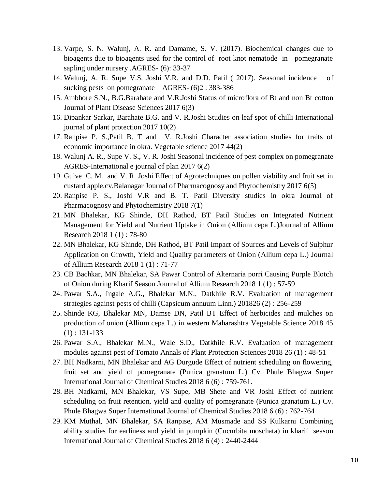- 13. Varpe, S. N. Walunj, A. R. and Damame, S. V. (2017). Biochemical changes due to bioagents due to bioagents used for the control of root knot nematode in pomegranate sapling under nursery .AGRES- (6): 33-37
- 14. Walunj, A. R. Supe V.S. Joshi V.R. and D.D. Patil ( 2017). Seasonal incidence of sucking pests on pomegranate AGRES- (6)2 : 383-386
- 15. Ambhore S.N., B.G.Barahate and V.R.Joshi Status of microflora of Bt and non Bt cotton Journal of Plant Disease Sciences 2017 6(3)
- 16. Dipankar Sarkar, Barahate B.G. and V. R.Joshi Studies on leaf spot of chilli International journal of plant protection 2017 10(2)
- 17. Ranpise P. S.,Patil B. T and V. R.Joshi Character association studies for traits of economic importance in okra. Vegetable science 2017 44(2)
- 18. Walunj A. R., Supe V. S., V. R. Joshi Seasonal incidence of pest complex on pomegranate AGRES-International e journal of plan 2017 6(2)
- 19. Gulve C. M. and V. R. Joshi Effect of Agrotechniques on pollen viability and fruit set in custard apple.cv.Balanagar Journal of Pharmacognosy and Phytochemistry 2017 6(5)
- 20. Ranpise P. S., Joshi V.R and B. T. Patil Diversity studies in okra Journal of Pharmacognosy and Phytochemistry 2018 7(1)
- 21. MN Bhalekar, KG Shinde, DH Rathod, BT Patil Studies on Integrated Nutrient Management for Yield and Nutrient Uptake in Onion (Allium cepa L.)Journal of Allium Research 2018 1 (1) : 78-80
- 22. MN Bhalekar, KG Shinde, DH Rathod, BT Patil Impact of Sources and Levels of Sulphur Application on Growth, Yield and Quality parameters of Onion (Allium cepa L.) Journal of Allium Research 2018 1 (1) : 71-77
- 23. CB Bachkar, MN Bhalekar, SA Pawar Control of Alternaria porri Causing Purple Blotch of Onion during Kharif Season Journal of Allium Research 2018 1 (1) : 57-59
- 24. Pawar S.A., Ingale A.G., Bhalekar M.N., Datkhile R.V. Evaluation of management strategies against pests of chilli (Capsicum annuum Linn.) 201826 (2) : 256-259
- 25. Shinde KG, Bhalekar MN, Damse DN, Patil BT Effect of herbicides and mulches on production of onion (Allium cepa L.) in western Maharashtra Vegetable Science 2018 45  $(1)$ : 131-133
- 26. Pawar S.A., Bhalekar M.N., Wale S.D., Datkhile R.V. Evaluation of management modules against pest of Tomato Annals of Plant Protection Sciences 2018 26 (1) : 48-51
- 27. BH Nadkarni, MN Bhalekar and AG Durgude Effect of nutrient scheduling on flowering, fruit set and yield of pomegranate (Punica granatum L.) Cv. Phule Bhagwa Super International Journal of Chemical Studies 2018 6 (6) : 759-761.
- 28. BH Nadkarni, MN Bhalekar, VS Supe, MB Shete and VR Joshi Effect of nutrient scheduling on fruit retention, yield and quality of pomegranate (Punica granatum L.) Cv. Phule Bhagwa Super International Journal of Chemical Studies 2018 6 (6) : 762-764
- 29. KM Muthal, MN Bhalekar, SA Ranpise, AM Musmade and SS Kulkarni Combining ability studies for earliness and yield in pumpkin (Cucurbita moschata) in kharif season International Journal of Chemical Studies 2018 6 (4) : 2440-2444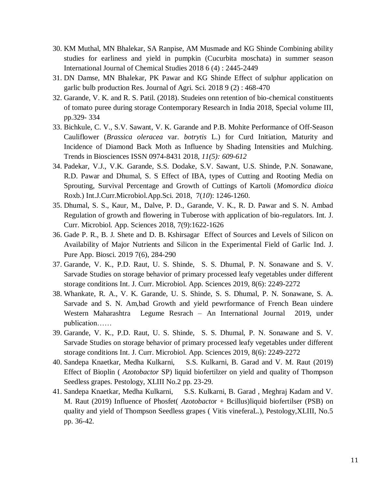- 30. KM Muthal, MN Bhalekar, SA Ranpise, AM Musmade and KG Shinde Combining ability studies for earliness and yield in pumpkin (Cucurbita moschata) in summer season International Journal of Chemical Studies 2018 6 (4) : 2445-2449
- 31. DN Damse, MN Bhalekar, PK Pawar and KG Shinde Effect of sulphur application on garlic bulb production Res. Journal of Agri. Sci. 2018 9 (2) : 468-470
- 32. Garande, V. K. and R. S. Patil. (2018). Studeies onn retention of bio-chemical constituents of tomato puree during storage Contemporary Research in India 2018, Special volume III, pp.329- 334
- 33. Bichkule, C. V., S.V. Sawant, V. K. Garande and P.B. Mohite Performance of Off-Season Cauliflower (*Brassica oleracea* var. *botrytis* L.) for Curd Initiation, Maturity and Incidence of Diamond Back Moth as Influence by Shading Intensities and Mulching. Trends in Biosciences ISSN 0974-8431 2018, *11(5): 609-612*
- 34. Padekar, V.J., V.K. Garande, S.S. Dodake, S.V. Sawant, U.S. Shinde, P.N. Sonawane, R.D. Pawar and Dhumal, S. S Effect of IBA, types of Cutting and Rooting Media on Sprouting, Survival Percentage and Growth of Cuttings of Kartoli (*Momordica dioica* Roxb.) Int.J.Curr.Microbiol.App.Sci. 2018, 7(*10*): 1246-1260.
- 35. Dhumal, S. S., Kaur, M., Dalve, P. D., Garande, V. K., R. D. Pawar and S. N. Ambad Regulation of growth and flowering in Tuberose with application of bio-regulators. Int. J. Curr. Microbiol. App. Sciences 2018, 7(9):1622-1626
- 36. Gade P. R., B. J. Shete and D. B. Kshirsagar Effect of Sources and Levels of Silicon on Availability of Major Nutrients and Silicon in the Experimental Field of Garlic Ind. J. Pure App. Biosci. 2019 7(6), 284-290
- 37. Garande, V. K., P.D. Raut, U. S. Shinde, S. S. Dhumal, P. N. Sonawane and S. V. Sarvade Studies on storage behavior of primary processed leafy vegetables under different storage conditions Int. J. Curr. Microbiol. App. Sciences 2019, [8\(6\):](javascript:history.go(-1)) 2249-2272
- 38. Whankate, R. A., V. K. Garande, U. S. Shinde, S. S. Dhumal, P. N. Sonawane, S. A. Sarvade and S. N. Am,bad Growth and yield pewrformance of French Bean uindere Western Maharashtra Legume Resrach – An International Journal 2019, under publication……
- 39. Garande, V. K., P.D. Raut, U. S. Shinde, S. S. Dhumal, P. N. Sonawane and S. V. Sarvade Studies on storage behavior of primary processed leafy vegetables under different storage conditions Int. J. Curr. Microbiol. App. Sciences 2019, [8\(6\):](javascript:history.go(-1)) 2249-2272
- 40. Sandepa Knaetkar, Medha Kulkarni, S.S. Kulkarni, B. Garad and V. M. Raut (2019) Effect of Bioplin ( *Azotobactor* SP) liquid biofertilzer on yield and quality of Thompson Seedless grapes. Pestology, XLIII No.2 pp. 23-29.
- 41. Sandepa Knaetkar, Medha Kulkarni, S.S. Kulkarni, B. Garad , Meghraj Kadam and V. M. Raut (2019) Influence of Phosfet( *Azotobacto*r + Bcillus)liquid biofertilser (PSB) on quality and yield of Thompson Seedless grapes ( Vitis vineferaL.), Pestology,XLIII, No.5 pp. 36-42.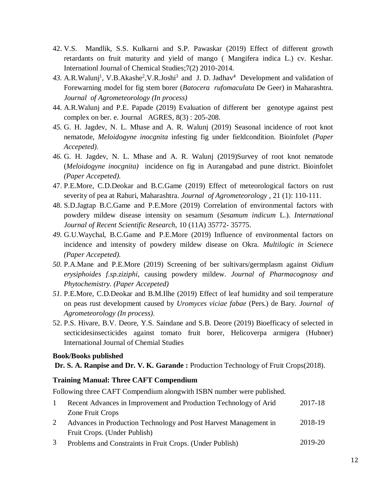- 42. V.S. Mandlik, S.S. Kulkarni and S.P. Pawaskar (2019) Effect of different growth retardants on fruit maturity and yield of mango ( Mangifera indica L.) cv. Keshar. Internationl Journal of Chemical Studies;7(2) 2010-2014.
- 43. A.R.Walunj<sup>1</sup>, V.B.Akashe<sup>2</sup>,V.R.Joshi<sup>3</sup> and J. D. Jadhav<sup>4</sup> Development and validation of Forewarning model for fig stem borer (*Batocera rufomaculata* De Geer) in Maharashtra. *Journal of Agrometeorology (In process)*
- 44. A.R.Walunj and P.E. Papade (2019) Evaluation of different ber genotype against pest complex on ber. e. Journal AGRES, 8(3) : 205-208.
- *45.* G. H. Jagdev, N. L. Mhase and A. R. Walunj (2019) Seasonal incidence of root knot nematode, *Meloidogyne inocgnita* infesting fig under fieldcondition. Bioinfolet *(Paper Accepeted).*
- *46.* G. H. Jagdev, N. L. Mhase and A. R. Walunj (2019)Survey of root knot nematode (*Meloidogyne inocgnita)* incidence on fig in Aurangabad and pune district. Bioinfolet *(Paper Accepeted).*
- 47. P.E.More, C.D.Deokar and B.C.Game (2019) Effect of meteorological factors on rust severity of pea at Rahuri, Maharashtra. *Journal of Agrometeorology ,* 21 (1): 110-111.
- 48. S.D.Jagtap B.C.Game and P.E.More (2019) Correlation of environmental factors with powdery mildew disease intensity on sesamum (*Sesamum indicum* L.). *International Journal of Recent Scientific Research,* 10 (11A) 35772- 35775.
- *49.* G.U.Waychal, B.C.Game and P.E.More (2019) Influence of environmental factors on incidence and intensity of powdery mildew disease on Okra. *Multilogic in Scienece (Paper Accepeted).*
- *50.* P.A.Mane and P.E.More (2019) Screening of ber sultivars/germplasm against *Oidium erysiphoides f.sp.ziziphi,* causing powdery mildew. *Journal of Pharmacognosy and Phytochemistry. (Paper Accepeted)*
- *51.* P.E.More, C.D.Deokar and B.M.Ilhe (2019) Effect of leaf humidity and soil temperature on peas rust development caused by *Uromyces viciae fabae* (Pers.) de Bary. *Journal of Agrometeorology (In process).*
- 52. P.S. Hivare, B.V. Deore, Y.S. Saindane and S.B. Deore (2019) Bioefficacy of selected in secticidesinsecticides against tomato fruit borer, Helicoverpa armigera (Hubner) International Journal of Chemial Studies

#### **Book/Books published**

Dr. S. A. Ranpise and Dr. V. K. Garande: Production Technology of Fruit Crops(2018).

#### **Training Manual: Three CAFT Compendium**

Following three CAFT Compendium alongwith ISBN number were published.

- 1. 1 Recent Advances in Improvement and Production Technology of Arid Zone Fruit Crops 2017-18 2. 2 Advances in Production Technology and Post Harvest Management in 2018-19
- Fruit Crops. (Under Publish)
- 3. 3 Problems and Constraints in Fruit Crops. (Under Publish) 2019-20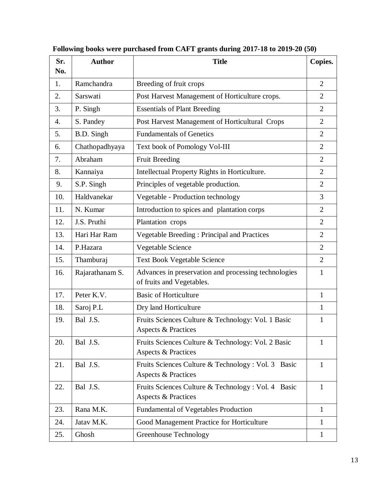| Sr.<br>No. | <b>Author</b>   | <b>Title</b>                                                                         | Copies.        |
|------------|-----------------|--------------------------------------------------------------------------------------|----------------|
| 1.         | Ramchandra      | Breeding of fruit crops                                                              | $\overline{2}$ |
| 2.         | Sarswati        | Post Harvest Management of Horticulture crops.                                       | $\overline{2}$ |
| 3.         | P. Singh        | <b>Essentials of Plant Breeding</b>                                                  | $\overline{2}$ |
| 4.         | S. Pandey       | Post Harvest Management of Horticultural Crops                                       | $\overline{2}$ |
| 5.         | B.D. Singh      | <b>Fundamentals of Genetics</b>                                                      | $\overline{2}$ |
| 6.         | Chathopadhyaya  | Text book of Pomology Vol-III                                                        | $\overline{2}$ |
| 7.         | Abraham         | <b>Fruit Breeding</b>                                                                | $\overline{2}$ |
| 8.         | Kannaiya        | Intellectual Property Rights in Horticulture.                                        | $\overline{2}$ |
| 9.         | S.P. Singh      | Principles of vegetable production.                                                  | $\overline{2}$ |
| 10.        | Haldvanekar     | Vegetable - Production technology                                                    | 3              |
| 11.        | N. Kumar        | Introduction to spices and plantation corps                                          | 2              |
| 12.        | J.S. Pruthi     | Plantation crops                                                                     | $\overline{2}$ |
| 13.        | Hari Har Ram    | <b>Vegetable Breeding: Principal and Practices</b>                                   | $\overline{2}$ |
| 14.        | P.Hazara        | Vegetable Science                                                                    | $\overline{2}$ |
| 15.        | Thamburaj       | <b>Text Book Vegetable Science</b>                                                   | $\overline{2}$ |
| 16.        | Rajarathanam S. | Advances in preservation and processing technologies<br>of fruits and Vegetables.    | 1              |
| 17.        | Peter K.V.      | <b>Basic of Horticulture</b>                                                         | 1              |
| 18.        | Saroj P.L       | Dry land Horticulture                                                                | 1              |
| 19.        | Bal J.S.        | Fruits Sciences Culture & Technology: Vol. 1 Basic<br>Aspects & Practices            | 1              |
| 20.        | Bal J.S.        | Fruits Sciences Culture & Technology: Vol. 2 Basic<br><b>Aspects &amp; Practices</b> | $\mathbf{1}$   |
| 21.        | Bal J.S.        | Fruits Sciences Culture & Technology : Vol. 3 Basic<br>Aspects & Practices           | $\mathbf{1}$   |
| 22.        | Bal J.S.        | Fruits Sciences Culture & Technology : Vol. 4 Basic<br>Aspects & Practices           | $\mathbf{1}$   |
| 23.        | Rana M.K.       | Fundamental of Vegetables Production                                                 | $\mathbf{1}$   |
| 24.        | Jatav M.K.      | Good Management Practice for Horticulture                                            | $\mathbf{1}$   |
| 25.        | Ghosh           | Greenhouse Technology                                                                | $\mathbf{1}$   |

**Following books were purchased from CAFT grants during 2017-18 to 2019-20 (50)**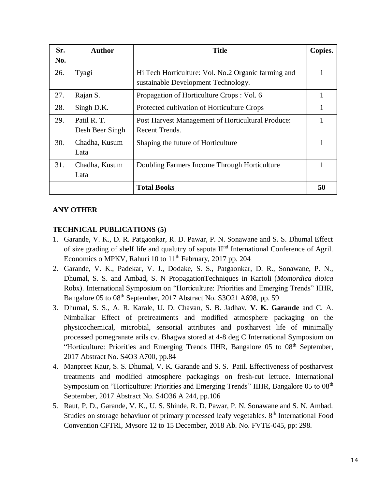| Sr. | <b>Author</b>                  | <b>Title</b>                                                                               | Copies. |
|-----|--------------------------------|--------------------------------------------------------------------------------------------|---------|
| No. |                                |                                                                                            |         |
| 26. | Tyagi                          | Hi Tech Horticulture: Vol. No.2 Organic farming and<br>sustainable Development Technology. |         |
| 27. | Rajan S.                       | Propagation of Horticulture Crops: Vol. 6                                                  |         |
| 28. | Singh D.K.                     | Protected cultivation of Horticulture Crops                                                |         |
| 29. | Patil R. T.<br>Desh Beer Singh | Post Harvest Management of Horticultural Produce:<br>Recent Trends.                        |         |
| 30. | Chadha, Kusum<br>Lata          | Shaping the future of Horticulture                                                         |         |
| 31. | Chadha, Kusum<br>Lata          | Doubling Farmers Income Through Horticulture                                               |         |
|     |                                | <b>Total Books</b>                                                                         | 50      |

# **ANY OTHER**

# **TECHNICAL PUBLICATIONS (5)**

- 1. Garande, V. K., D. R. Patgaonkar, R. D. Pawar, P. N. Sonawane and S. S. Dhumal Effect of size grading of shelf life and qualutry of sapota II<sup>nd</sup> International Conference of Agril. Economics o MPKV, Rahuri 10 to  $11<sup>th</sup>$  February, 2017 pp. 204
- 2. Garande, V. K., Padekar, V. J., Dodake, S. S., Patgaonkar, D. R., Sonawane, P. N., Dhumal, S. S. and Ambad, S. N PropagationTechniques in Kartoli (*Momordica dioica*  Robx). International Symposium on "Horticulture: Priorities and Emerging Trends" IIHR, Bangalore 05 to 08<sup>th</sup> September, 2017 Abstract No. S3O21 A698, pp. 59
- 3. Dhumal, S. S., A. R. Karale, U. D. Chavan, S. B. Jadhav, **V. K. Garande** and C. A. Nimbalkar Effect of pretreatments and modified atmosphere packaging on the physicochemical, microbial, sensorial attributes and postharvest life of minimally processed pomegranate arils cv. Bhagwa stored at 4-8 deg C International Symposium on "Horticulture: Priorities and Emerging Trends IIHR, Bangalore 05 to 08<sup>th</sup> September, 2017 Abstract No. S4O3 A700, pp.84
- 4. Manpreet Kaur, S. S. Dhumal, V. K. Garande and S. S. Patil. Effectiveness of postharvest treatments and modified atmosphere packagings on fresh-cut lettuce. International Symposium on "Horticulture: Priorities and Emerging Trends" IIHR, Bangalore 05 to 08<sup>th</sup> September, 2017 Abstract No. S4O36 A 244, pp.106
- 5. Raut, P. D., Garande, V. K., U. S. Shinde, R. D. Pawar, P. N. Sonawane and S. N. Ambad. Studies on storage behaviuor of primary processed leafy vegetables. 8<sup>th</sup> International Food Convention CFTRI, Mysore 12 to 15 December, 2018 Ab. No. FVTE-045, pp: 298.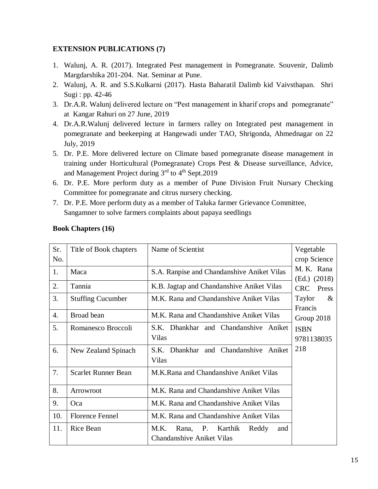# **EXTENSION PUBLICATIONS (7)**

- 1. Walunj, A. R. (2017). Integrated Pest management in Pomegranate. Souvenir, Dalimb Margdarshika 201-204. Nat. Seminar at Pune.
- 2. Walunj, A. R. and S.S.Kulkarni (2017). Hasta Baharatil Dalimb kid Vaivsthapan. Shri Sugi : pp. 42-46
- 3. Dr.A.R. Walunj delivered lecture on "Pest management in kharif crops and pomegranate" at Kangar Rahuri on 27 June, 2019
- 4. Dr.A.R.Walunj delivered lecture in farmers ralley on Integrated pest management in pomegranate and beekeeping at Hangewadi under TAO, Shrigonda, Ahmednagar on 22 July, 2019
- 5. Dr. P.E. More delivered lecture on Climate based pomegranate disease management in training under Horticultural (Pomegranate) Crops Pest & Disease surveillance, Advice, and Management Project during 3<sup>rd</sup> to 4<sup>th</sup> Sept.2019
- 6. Dr. P.E. More perform duty as a member of Pune Division Fruit Nursary Checking Committee for pomegranate and citrus nursery checking.
- 7. Dr. P.E. More perform duty as a member of Taluka farmer Grievance Committee, Sangamner to solve farmers complaints about papaya seedlings

| Sr. | Title of Book chapters   | Name of Scientist                                                            | Vegetable                    |
|-----|--------------------------|------------------------------------------------------------------------------|------------------------------|
| No. |                          |                                                                              | crop Science                 |
| 1.  | Maca                     | S.A. Ranpise and Chandanshive Aniket Vilas                                   | M. K. Rana<br>$(Ed.)$ (2018) |
| 2.  | Tannia                   | K.B. Jagtap and Chandanshive Aniket Vilas                                    | CRC Press                    |
| 3.  | <b>Stuffing Cucumber</b> | M.K. Rana and Chandanshive Aniket Vilas                                      | Taylor<br>$\&$<br>Francis    |
| 4.  | Broad bean               | M.K. Rana and Chandanshive Aniket Vilas                                      | Group 2018                   |
| 5.  | Romanesco Broccoli       | S.K. Dhankhar and Chandanshive Aniket                                        | <b>ISBN</b>                  |
|     |                          | Vilas                                                                        | 9781138035                   |
| 6.  | New Zealand Spinach      | S.K. Dhankhar and Chandanshive Aniket<br>Vilas                               | 218                          |
| 7.  | Scarlet Runner Bean      | M.K.Rana and Chandanshive Aniket Vilas                                       |                              |
| 8.  | Arrowroot                | M.K. Rana and Chandanshive Aniket Vilas                                      |                              |
| 9.  | Oca                      | M.K. Rana and Chandanshive Aniket Vilas                                      |                              |
| 10. | <b>Florence Fennel</b>   | M.K. Rana and Chandanshive Aniket Vilas                                      |                              |
| 11. | <b>Rice Bean</b>         | Rana, P. Karthik<br>M.K.<br>Reddy<br>and<br><b>Chandanshive Aniket Vilas</b> |                              |

# **Book Chapters (16)**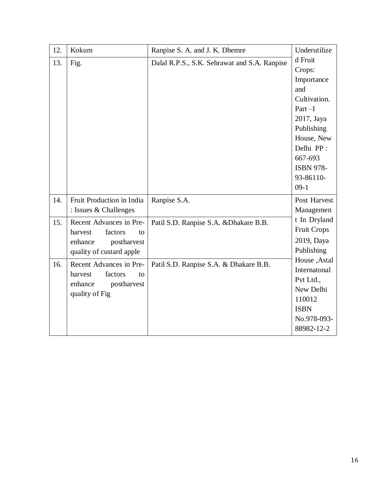| 12. | Kokum                     | Ranpise S. A. and J. K. Dhemre               | Underutilize       |
|-----|---------------------------|----------------------------------------------|--------------------|
| 13. | Fig.                      | Dalal R.P.S., S.K. Sehrawat and S.A. Ranpise | d Fruit            |
|     |                           |                                              | Crops:             |
|     |                           |                                              | Importance         |
|     |                           |                                              | and                |
|     |                           |                                              | Cultivation.       |
|     |                           |                                              | $Part-I$           |
|     |                           |                                              | 2017, Jaya         |
|     |                           |                                              | Publishing         |
|     |                           |                                              | House, New         |
|     |                           |                                              | Delhi PP:          |
|     |                           |                                              | 667-693            |
|     |                           |                                              | <b>ISBN 978-</b>   |
|     |                           |                                              | 93-86110-          |
|     |                           |                                              | $09-1$             |
| 14. | Fruit Production in India | Ranpise S.A.                                 | Post Harvest       |
|     | : Issues & Challenges     |                                              | Managemen          |
| 15. | Recent Advances in Pre-   | Patil S.D. Ranpise S.A. & Dhakare B.B.       | t In Dryland       |
|     | harvest<br>factors<br>to  |                                              | <b>Fruit Crops</b> |
|     | enhance<br>postharvest    |                                              | 2019, Daya         |
|     | quality of custard apple  |                                              | Publishing         |
| 16. | Recent Advances in Pre-   | Patil S.D. Ranpise S.A. & Dhakare B.B.       | House, Astal       |
|     | factors<br>harvest<br>to  |                                              | Internatonal       |
|     | enhance<br>postharvest    |                                              | Pvt Ltd.,          |
|     | quality of Fig            |                                              | New Delhi          |
|     |                           |                                              | 110012             |
|     |                           |                                              | <b>ISBN</b>        |
|     |                           |                                              | No.978-093-        |
|     |                           |                                              | 88982-12-2         |